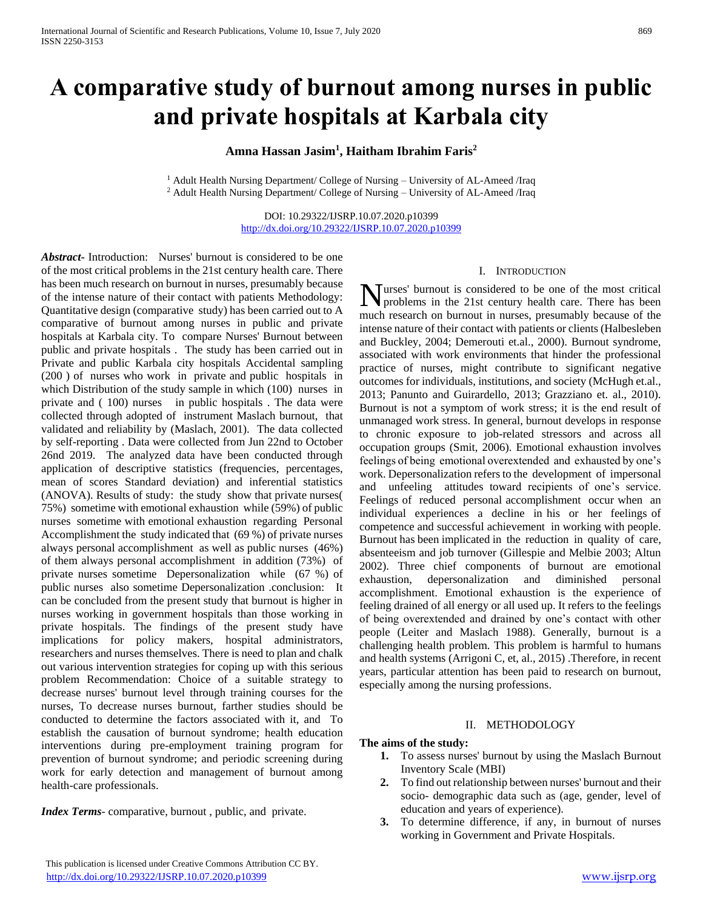# **A comparative study of burnout among nurses in public and private hospitals at Karbala city**

**Amna Hassan Jasim<sup>1</sup> , Haitham Ibrahim Faris<sup>2</sup>**

<sup>1</sup> Adult Health Nursing Department/ College of Nursing – University of AL-Ameed /Iraq <sup>2</sup> Adult Health Nursing Department/ College of Nursing – University of AL-Ameed /Iraq

> DOI: 10.29322/IJSRP.10.07.2020.p10399 <http://dx.doi.org/10.29322/IJSRP.10.07.2020.p10399>

*Abstract***-** Introduction: Nurses' burnout is considered to be one of the most critical problems in the 21st century health care. There has been much research on burnout in nurses, presumably because of the intense nature of their contact with patients Methodology: Quantitative design (comparative study) has been carried out to A comparative of burnout among nurses in public and private hospitals at Karbala city. To compare Nurses' Burnout between public and private hospitals . The study has been carried out in Private and public Karbala city hospitals Accidental sampling (200 ) of nurses who work in private and public hospitals in which Distribution of the study sample in which (100) nurses in private and ( 100) nurses in public hospitals . The data were collected through adopted of instrument Maslach burnout, that validated and reliability by (Maslach, 2001). The data collected by self-reporting . Data were collected from Jun 22nd to October 26nd 2019. The analyzed data have been conducted through application of descriptive statistics (frequencies, percentages, mean of scores Standard deviation) and inferential statistics (ANOVA). Results of study: the study show that private nurses( 75%) sometime with emotional exhaustion while (59%) of public nurses sometime with emotional exhaustion regarding Personal Accomplishment the study indicated that (69 %) of private nurses always personal accomplishment as well as public nurses (46%) of them always personal accomplishment in addition (73%) of private nurses sometime Depersonalization while (67 %) of public nurses also sometime Depersonalization .conclusion: It can be concluded from the present study that burnout is higher in nurses working in government hospitals than those working in private hospitals. The findings of the present study have implications for policy makers, hospital administrators, researchers and nurses themselves. There is need to plan and chalk out various intervention strategies for coping up with this serious problem Recommendation: Choice of a suitable strategy to decrease nurses' burnout level through training courses for the nurses, To decrease nurses burnout, farther studies should be conducted to determine the factors associated with it, and To establish the causation of burnout syndrome; health education interventions during pre-employment training program for prevention of burnout syndrome; and periodic screening during work for early detection and management of burnout among health-care professionals.

*Index Terms-* comparative, burnout, public, and private.

### I. INTRODUCTION

Nurses' burnout is considered to be one of the most critical problems in the 21st century health care. There has been problems in the 21st century health care. There has been much research on burnout in nurses, presumably because of the intense nature of their contact with patients or clients (Halbesleben and Buckley, 2004; Demerouti et.al., 2000). Burnout syndrome, associated with work environments that hinder the professional practice of nurses, might contribute to significant negative outcomes for individuals, institutions, and society (McHugh et.al., 2013; Panunto and Guirardello, 2013; Grazziano et. al., 2010). Burnout is not a symptom of work stress; it is the end result of unmanaged work stress. In general, burnout develops in response to chronic exposure to job-related stressors and across all occupation groups (Smit, 2006). Emotional exhaustion involves feelings of being emotional overextended and exhausted by one's work. Depersonalization refers to the development of impersonal and unfeeling attitudes toward recipients of one's service. Feelings of reduced personal accomplishment occur when an individual experiences a decline in his or her feelings of competence and successful achievement in working with people. Burnout has been implicated in the reduction in quality of care, absenteeism and job turnover (Gillespie and Melbie 2003; Altun 2002). Three chief components of burnout are emotional exhaustion, depersonalization and diminished personal accomplishment. Emotional exhaustion is the experience of feeling drained of all energy or all used up. It refers to the feelings of being overextended and drained by one's contact with other people (Leiter and Maslach 1988). Generally, burnout is a challenging health problem. This problem is harmful to humans and health systems (Arrigoni C, et, al., 2015) .Therefore, in recent years, particular attention has been paid to research on burnout, especially among the nursing professions.

#### II. METHODOLOGY

#### **The aims of the study:**

- **1.** To assess nurses' burnout by using the Maslach Burnout Inventory Scale (MBI)
- **2.** To find out relationship between nurses' burnout and their socio- demographic data such as (age, gender, level of education and years of experience).
- **3.** To determine difference, if any, in burnout of nurses working in Government and Private Hospitals.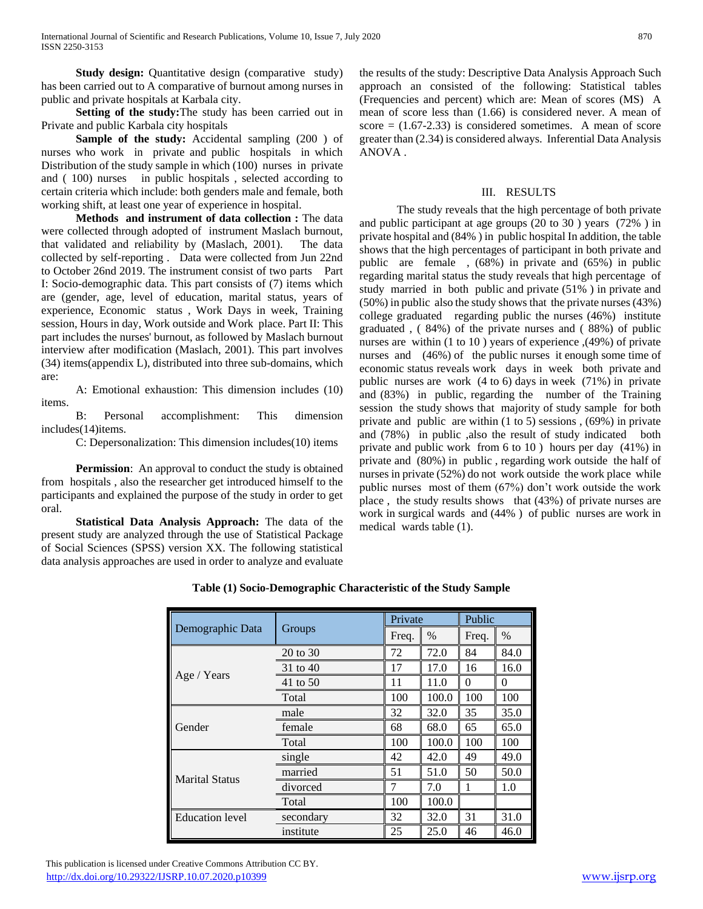**Study design:** Quantitative design (comparative study) has been carried out to A comparative of burnout among nurses in public and private hospitals at Karbala city.

 **Setting of the study:**The study has been carried out in Private and public Karbala city hospitals

**Sample of the study:** Accidental sampling (200) of nurses who work in private and public hospitals in which Distribution of the study sample in which (100) nurses in private and ( 100) nurses in public hospitals , selected according to certain criteria which include: both genders male and female, both working shift, at least one year of experience in hospital.

 **Methods and instrument of data collection :** The data were collected through adopted of instrument Maslach burnout, that validated and reliability by (Maslach, 2001). The data collected by self-reporting . Data were collected from Jun 22nd to October 26nd 2019. The instrument consist of two parts Part I: Socio-demographic data. This part consists of (7) items which are (gender, age, level of education, marital status, years of experience, Economic status , Work Days in week, Training session, Hours in day, Work outside and Work place. Part II: This part includes the nurses' burnout, as followed by Maslach burnout interview after modification (Maslach, 2001). This part involves (34) items(appendix L), distributed into three sub-domains, which are:

A: Emotional exhaustion: This dimension includes (10) items.

B: Personal accomplishment: This dimension includes(14)items.

C: Depersonalization: This dimension includes(10) items

**Permission:** An approval to conduct the study is obtained from hospitals , also the researcher get introduced himself to the participants and explained the purpose of the study in order to get oral.

 **Statistical Data Analysis Approach:** The data of the present study are analyzed through the use of Statistical Package of Social Sciences (SPSS) version XX. The following statistical data analysis approaches are used in order to analyze and evaluate the results of the study: Descriptive Data Analysis Approach Such approach an consisted of the following: Statistical tables (Frequencies and percent) which are: Mean of scores (MS) A mean of score less than (1.66) is considered never. A mean of score  $= (1.67-2.33)$  is considered sometimes. A mean of score greater than (2.34) is considered always. Inferential Data Analysis ANOVA .

## III. RESULTS

The study reveals that the high percentage of both private and public participant at age groups (20 to 30 ) years (72% ) in private hospital and (84% ) in public hospital In addition, the table shows that the high percentages of participant in both private and public are female , (68%) in private and (65%) in public regarding marital status the study reveals that high percentage of study married in both public and private (51% ) in private and (50%) in public also the study shows that the private nurses (43%) college graduated regarding public the nurses (46%) institute graduated , ( 84%) of the private nurses and ( 88%) of public nurses are within (1 to 10 ) years of experience ,(49%) of private nurses and  $(46\%)$  of the public nurses it enough some time of economic status reveals work days in week both private and public nurses are work (4 to 6) days in week (71%) in private and (83%) in public, regarding the number of the Training session the study shows that majority of study sample for both private and public are within (1 to 5) sessions , (69%) in private and (78%) in public ,also the result of study indicated both private and public work from 6 to 10 ) hours per day (41%) in private and (80%) in public , regarding work outside the half of nurses in private (52%) do not work outside the work place while public nurses most of them (67%) don't work outside the work place , the study results shows that (43%) of private nurses are work in surgical wards and (44% ) of public nurses are work in medical wards table (1).

|                        |           |                                                                           | Private |          | Public |  |
|------------------------|-----------|---------------------------------------------------------------------------|---------|----------|--------|--|
| Demographic Data       | Groups    | Freq.<br>72<br>17<br>11<br>100<br>32<br>68<br>100<br>42<br>51<br>7<br>100 | $\%$    | Freq.    | $\%$   |  |
|                        | 20 to 30  |                                                                           | 72.0    | 84       | 84.0   |  |
|                        | 31 to 40  |                                                                           | 17.0    | 16       | 16.0   |  |
| Age / Years            | 41 to 50  |                                                                           | 11.0    | $\theta$ | 0      |  |
|                        | Total     |                                                                           | 100.0   | 100      | 100    |  |
|                        | male      |                                                                           | 32.0    | 35       | 35.0   |  |
| Gender                 | female    |                                                                           | 68.0    | 65       | 65.0   |  |
|                        | Total     |                                                                           | 100.0   | 100      | 100    |  |
|                        | single    |                                                                           | 42.0    | 49       | 49.0   |  |
| <b>Marital Status</b>  | married   |                                                                           | 51.0    | 50       | 50.0   |  |
|                        | divorced  |                                                                           | 7.0     |          | 1.0    |  |
|                        | Total     |                                                                           | 100.0   |          |        |  |
| <b>Education</b> level | secondary | 32                                                                        | 32.0    | 31       | 31.0   |  |
|                        | institute | 25                                                                        | 25.0    | 46       | 46.0   |  |

**Table (1) Socio-Demographic Characteristic of the Study Sample**

 This publication is licensed under Creative Commons Attribution CC BY. <http://dx.doi.org/10.29322/IJSRP.10.07.2020.p10399> [www.ijsrp.org](http://ijsrp.org/)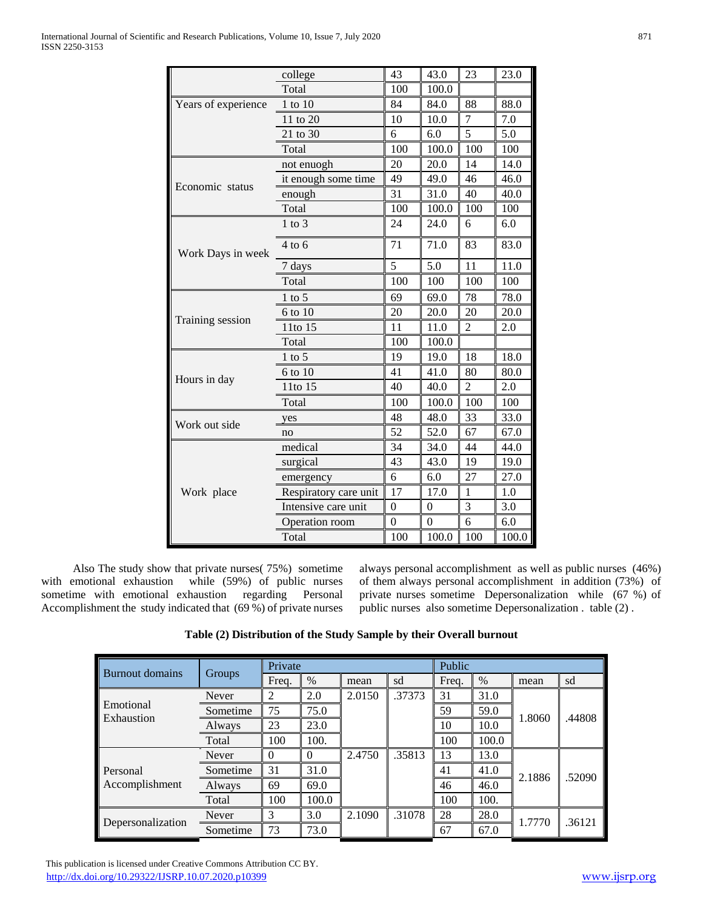|                                             | college               | 43               | 43.0           | 23             | 23.0  |
|---------------------------------------------|-----------------------|------------------|----------------|----------------|-------|
|                                             | Total                 | 100              | 100.0          |                |       |
| Years of experience                         | 1 to 10               | 84               | 84.0           | 88             | 88.0  |
|                                             | 11 to 20              | 10               | 10.0           | 7              | 7.0   |
|                                             | 21 to 30              | 6                | 6.0            | 5              | 5.0   |
|                                             | Total                 | 100              | 100.0          | 100            | 100   |
|                                             | not enuogh            | 20               | 20.0           | 14             | 14.0  |
| Economic status                             | it enough some time   | 49               | 49.0           | 46             | 46.0  |
|                                             | enough                | 31               | 31.0           | 40             | 40.0  |
|                                             | Total                 | 100              | 100.0          | 100            | 100   |
|                                             | $1$ to $3$            | 24               | 24.0           | 6              | 6.0   |
| Work Days in week                           | $4$ to 6              | 71               | 71.0           | 83             | 83.0  |
|                                             | 7 days                | 5                | 5.0            | 11             | 11.0  |
|                                             | Total                 | 100              | 100            | 100            | 100   |
|                                             | 1 to 5                | 69               | 69.0           | 78             | 78.0  |
|                                             | 6 to 10               | 20               | 20.0           | 20             | 20.0  |
| Training session                            | 11to 15               | 11               | 11.0           | $\overline{2}$ | 2.0   |
|                                             | Total                 | 100              | 100.0          |                |       |
|                                             | $1$ to 5              | 19               | 19.0           | 18             | 18.0  |
|                                             | 6 to 10               | 41               | 41.0           | 80             | 80.0  |
|                                             | 11to 15               | 40               | 40.0           | $\overline{2}$ | 2.0   |
|                                             | Total                 | 100              | 100.0          | 100            | 100   |
|                                             | yes                   | 48               | 48.0           | 33             | 33.0  |
|                                             | no                    | 52               | 52.0           | 67             | 67.0  |
|                                             | medical               | 34               | 34.0           | 44             | 44.0  |
|                                             | surgical              | 43               | 43.0           | 19             | 19.0  |
| Hours in day<br>Work out side<br>Work place | emergency             | 6                | 6.0            | 27             | 27.0  |
|                                             | Respiratory care unit | 17               | 17.0           | 1              | 1.0   |
|                                             | Intensive care unit   | $\boldsymbol{0}$ | $\theta$       | 3              | 3.0   |
|                                             | Operation room        | $\overline{0}$   | $\overline{0}$ | 6              | 6.0   |
|                                             | Total                 | 100              | 100.0          | 100            | 100.0 |

 Also The study show that private nurses( 75%) sometime with emotional exhaustion while (59%) of public nurses sometime with emotional exhaustion regarding Personal Accomplishment the study indicated that (69 %) of private nurses always personal accomplishment as well as public nurses (46%) of them always personal accomplishment in addition (73%) of private nurses sometime Depersonalization while (67 %) of public nurses also sometime Depersonalization . table (2) .

| Burnout domains         |          | Private  |       | Public |        |       |       |        |        |
|-------------------------|----------|----------|-------|--------|--------|-------|-------|--------|--------|
|                         | Groups   | Freq.    | $\%$  | mean   | sd     | Freq. | $\%$  | mean   | sd     |
|                         | Never    | 2        | 2.0   | 2.0150 | .37373 | 31    | 31.0  |        |        |
| Emotional<br>Exhaustion | Sometime | 75       | 75.0  |        |        | 59    | 59.0  | 1.8060 | .44808 |
|                         | Always   | 23       | 23.0  |        |        | 10    | 10.0  |        |        |
|                         | Total    | 100      | 100.  |        |        | 100   | 100.0 |        |        |
|                         | Never    | $\Omega$ |       | 2.4750 | .35813 | 13    | 13.0  |        |        |
| Personal                | Sometime | 31       | 31.0  |        |        | 41    | 41.0  | 2.1886 | .52090 |
| Accomplishment          | Always   | 69       | 69.0  |        |        | 46    | 46.0  |        |        |
|                         | Total    | 100      | 100.0 |        |        | 100   | 100.  |        |        |
|                         | Never    | 3        | 3.0   | 2.1090 | .31078 | 28    | 28.0  | 1.7770 | .36121 |
| Depersonalization       | Sometime | 73       | 73.0  |        |        | 67    | 67.0  |        |        |

# **Table (2) Distribution of the Study Sample by their Overall burnout**

 This publication is licensed under Creative Commons Attribution CC BY. <http://dx.doi.org/10.29322/IJSRP.10.07.2020.p10399> [www.ijsrp.org](http://ijsrp.org/)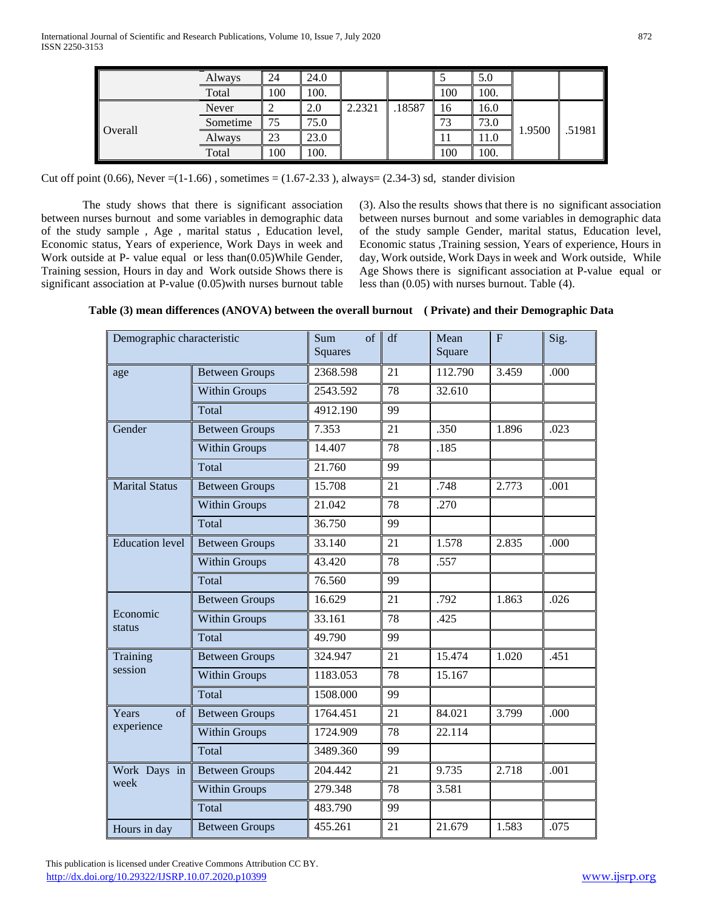|         | Always   | 24  | 24.0 |        |        |     | 5.0  |        |        |
|---------|----------|-----|------|--------|--------|-----|------|--------|--------|
|         | Total    | 100 | 100. |        |        | 100 | 100. |        |        |
|         | Never    |     | 2.0  | 2.2321 | .18587 | 16  | 16.0 |        |        |
| Overall | Sometime | 75  | 75.0 |        |        | 73  | 73.0 |        |        |
|         | Always   | 23  | 23.0 |        |        | 11  | 11.0 | 1.9500 | .51981 |
|         | Total    | 100 | 100. |        |        | 100 | 100. |        |        |

Cut off point  $(0.66)$ , Never =(1-1.66), sometimes = (1.67-2.33), always= (2.34-3) sd, stander division

The study shows that there is significant association between nurses burnout and some variables in demographic data of the study sample , Age , marital status , Education level, Economic status, Years of experience, Work Days in week and Work outside at P- value equal or less than(0.05)While Gender, Training session, Hours in day and Work outside Shows there is significant association at P-value (0.05)with nurses burnout table (3). Also the results shows that there is no significant association between nurses burnout and some variables in demographic data of the study sample Gender, marital status, Education level, Economic status ,Training session, Years of experience, Hours in day, Work outside, Work Days in week and Work outside, While Age Shows there is significant association at P-value equal or less than (0.05) with nurses burnout. Table (4).

| Demographic characteristic |                       | of<br>Sum<br><b>Squares</b> | df | Mean<br>Square | $\overline{F}$ | Sig. |
|----------------------------|-----------------------|-----------------------------|----|----------------|----------------|------|
| age                        | <b>Between Groups</b> | 2368.598                    | 21 | 112.790        | 3.459          | .000 |
|                            | <b>Within Groups</b>  | 2543.592                    | 78 | 32.610         |                |      |
|                            | Total                 | 4912.190                    | 99 |                |                |      |
| Gender                     | <b>Between Groups</b> | 7.353                       | 21 | .350           | 1.896          | .023 |
|                            | <b>Within Groups</b>  | 14.407                      | 78 | .185           |                |      |
|                            | Total                 | 21.760                      | 99 |                |                |      |
| <b>Marital Status</b>      | <b>Between Groups</b> | 15.708                      | 21 | .748           | 2.773          | .001 |
|                            | <b>Within Groups</b>  | 21.042                      | 78 | .270           |                |      |
|                            | Total                 | 36.750                      | 99 |                |                |      |
| <b>Education</b> level     | <b>Between Groups</b> | 33.140                      | 21 | 1.578          | 2.835          | .000 |
|                            | <b>Within Groups</b>  | 43.420                      | 78 | .557           |                |      |
|                            | Total                 | 76.560                      | 99 |                |                |      |
|                            | <b>Between Groups</b> | 16.629                      | 21 | .792           | 1.863          | .026 |
| Economic<br>status         | <b>Within Groups</b>  | 33.161                      | 78 | .425           |                |      |
|                            | Total                 | 49.790                      | 99 |                |                |      |
| Training                   | <b>Between Groups</b> | 324.947                     | 21 | 15.474         | 1.020          | .451 |
| session                    | Within Groups         | 1183.053                    | 78 | 15.167         |                |      |
|                            | Total                 | 1508.000                    | 99 |                |                |      |
| of<br>Years                | <b>Between Groups</b> | 1764.451                    | 21 | 84.021         | 3.799          | .000 |
| experience                 | <b>Within Groups</b>  | 1724.909                    | 78 | 22.114         |                |      |
|                            | Total                 | 3489.360                    | 99 |                |                |      |
| Work Days in               | <b>Between Groups</b> | 204.442                     | 21 | 9.735          | 2.718          | .001 |
| week                       | Within Groups         | 279.348                     | 78 | 3.581          |                |      |
|                            | Total                 | 483.790                     | 99 |                |                |      |
| Hours in day               | <b>Between Groups</b> | 455.261                     | 21 | 21.679         | 1.583          | .075 |

**Table (3) mean differences (ANOVA) between the overall burnout ( Private) and their Demographic Data**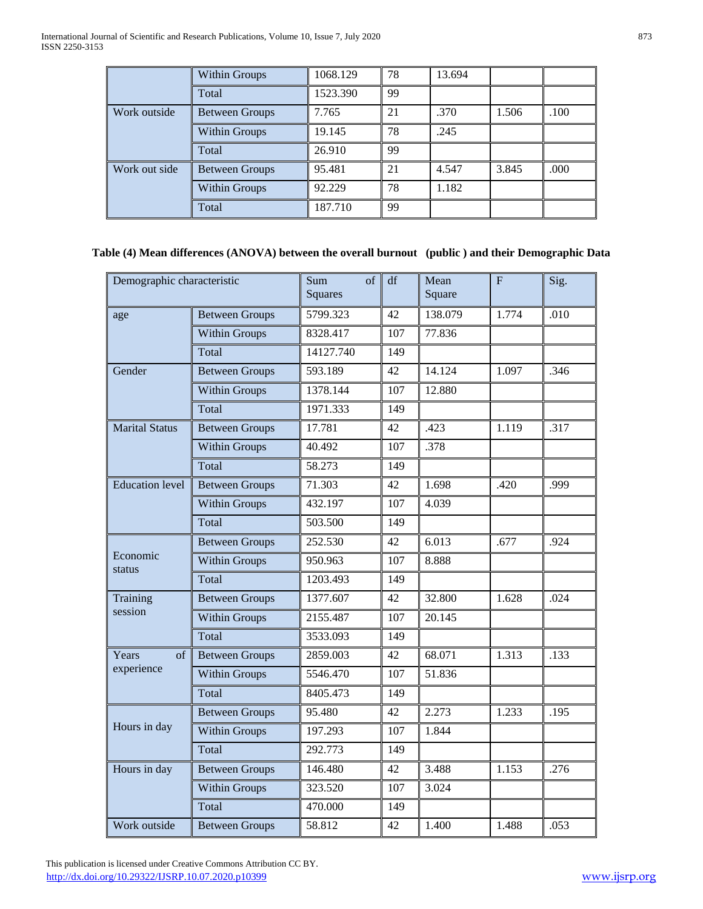|               | Within Groups         | 1068.129 | 78 | 13.694 |       |      |
|---------------|-----------------------|----------|----|--------|-------|------|
|               | Total                 | 1523.390 | 99 |        |       |      |
| Work outside  | <b>Between Groups</b> | 7.765    | 21 | .370   | 1.506 | .100 |
|               | <b>Within Groups</b>  | 19.145   | 78 | .245   |       |      |
|               | Total                 | 26.910   | 99 |        |       |      |
| Work out side | Between Groups        | 95.481   | 21 | 4.547  | 3.845 | .000 |
|               | <b>Within Groups</b>  | 92.229   | 78 | 1.182  |       |      |
|               | Total                 | 187.710  | 99 |        |       |      |

# **Table (4) Mean differences (ANOVA) between the overall burnout (public ) and their Demographic Data**

| Demographic characteristic |                       | $\sigma$ f<br>Sum<br><b>Squares</b> | df  | Mean<br>Square | F     | Sig. |
|----------------------------|-----------------------|-------------------------------------|-----|----------------|-------|------|
| age                        | <b>Between Groups</b> | 5799.323                            | 42  | 138.079        | 1.774 | .010 |
|                            | <b>Within Groups</b>  | 8328.417                            | 107 | 77.836         |       |      |
|                            | Total                 | 14127.740                           | 149 |                |       |      |
| Gender                     | <b>Between Groups</b> | 593.189                             | 42  | 14.124         | 1.097 | .346 |
|                            | <b>Within Groups</b>  | 1378.144                            | 107 | 12.880         |       |      |
|                            | Total                 | 1971.333                            | 149 |                |       |      |
| <b>Marital Status</b>      | <b>Between Groups</b> | 17.781                              | 42  | .423           | 1.119 | .317 |
|                            | <b>Within Groups</b>  | 40.492                              | 107 | .378           |       |      |
|                            | Total                 | 58.273                              | 149 |                |       |      |
| <b>Education</b> level     | <b>Between Groups</b> | 71.303                              | 42  | 1.698          | .420  | .999 |
|                            | <b>Within Groups</b>  | $\overline{432.197}$                | 107 | 4.039          |       |      |
|                            | Total                 | 503.500                             | 149 |                |       |      |
| Economic<br>status         | <b>Between Groups</b> | 252.530                             | 42  | 6.013          | .677  | .924 |
|                            | <b>Within Groups</b>  | 950.963                             | 107 | 8.888          |       |      |
|                            | Total                 | 1203.493                            | 149 |                |       |      |
| Training                   | <b>Between Groups</b> | 1377.607                            | 42  | 32.800         | 1.628 | .024 |
| session                    | <b>Within Groups</b>  | 2155.487                            | 107 | 20.145         |       |      |
|                            | Total                 | 3533.093                            | 149 |                |       |      |
| Years<br>of                | <b>Between Groups</b> | 2859.003                            | 42  | 68.071         | 1.313 | .133 |
| experience                 | <b>Within Groups</b>  | 5546.470                            | 107 | 51.836         |       |      |
|                            | Total                 | 8405.473                            | 149 |                |       |      |
|                            | <b>Between Groups</b> | 95.480                              | 42  | 2.273          | 1.233 | .195 |
| Hours in day               | <b>Within Groups</b>  | 197.293                             | 107 | 1.844          |       |      |
|                            | Total                 | 292.773                             | 149 |                |       |      |
| Hours in day               | <b>Between Groups</b> | 146.480                             | 42  | 3.488          | 1.153 | .276 |
|                            | <b>Within Groups</b>  | 323.520                             | 107 | 3.024          |       |      |
|                            | Total                 | 470.000                             | 149 |                |       |      |
| Work outside               | <b>Between Groups</b> | 58.812                              | 42  | 1.400          | 1.488 | .053 |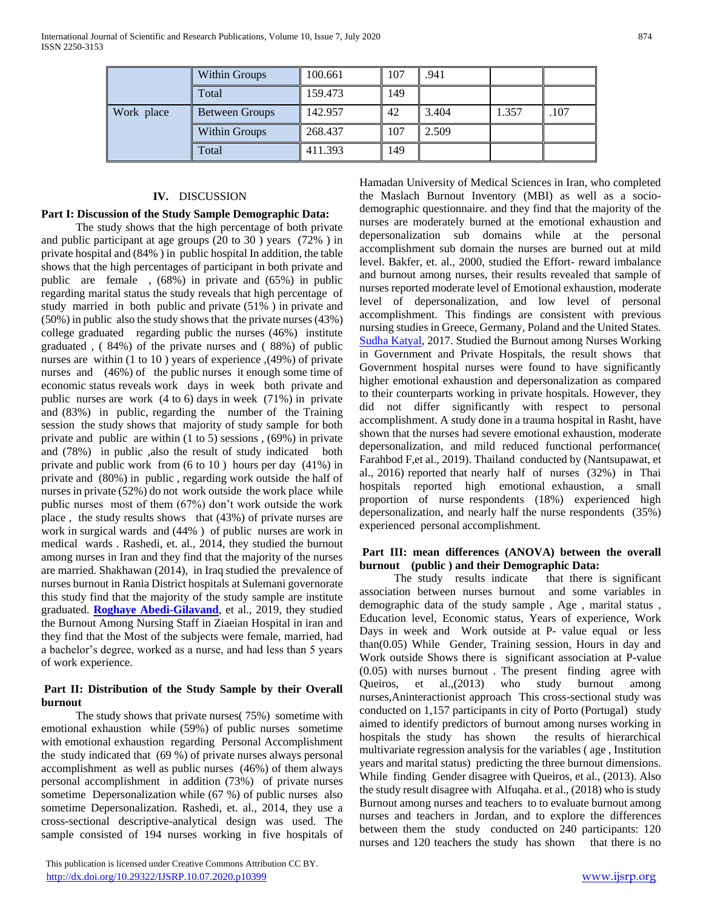|            | Within Groups  | 100.661 | 107 | .941  |       |      |
|------------|----------------|---------|-----|-------|-------|------|
|            | Total          | 159.473 | 149 |       |       |      |
| Work place | Between Groups | 142.957 | 42  | 3.404 | 1.357 | .107 |
|            | Within Groups  | 268.437 | 107 | 2.509 |       |      |
|            | Total          | 411.393 | 149 |       |       |      |

#### **IV.** DISCUSSION

#### **Part I: Discussion of the Study Sample Demographic Data:**

The study shows that the high percentage of both private and public participant at age groups (20 to 30 ) years (72% ) in private hospital and (84% ) in public hospital In addition, the table shows that the high percentages of participant in both private and public are female , (68%) in private and (65%) in public regarding marital status the study reveals that high percentage of study married in both public and private (51% ) in private and (50%) in public also the study shows that the private nurses (43%) college graduated regarding public the nurses (46%) institute graduated , ( 84%) of the private nurses and ( 88%) of public nurses are within (1 to 10 ) years of experience ,(49%) of private nurses and (46%) of the public nurses it enough some time of economic status reveals work days in week both private and public nurses are work (4 to 6) days in week (71%) in private and (83%) in public, regarding the number of the Training session the study shows that majority of study sample for both private and public are within (1 to 5) sessions , (69%) in private and (78%) in public ,also the result of study indicated both private and public work from (6 to 10 ) hours per day (41%) in private and (80%) in public , regarding work outside the half of nurses in private (52%) do not work outside the work place while public nurses most of them (67%) don't work outside the work place , the study results shows that (43%) of private nurses are work in surgical wards and (44% ) of public nurses are work in medical wards . Rashedi, et. al., 2014, they studied the burnout among nurses in Iran and they find that the majority of the nurses are married. Shakhawan (2014), in Iraq studied the prevalence of nurses burnout in Rania District hospitals at Sulemani governorate this study find that the majority of the study sample are institute graduated. **[Roghaye Abedi-Gilavand](https://www.ncbi.nlm.nih.gov/pubmed/?term=Abedi-Gilavandi%20R%5BAuthor%5D&cauthor=true&cauthor_uid=31213948)**, et al., 2019, they studied the Burnout Among Nursing Staff in Ziaeian Hospital in iran and they find that the Most of the subjects were female, married, had a bachelor's degree, worked as a nurse, and had less than 5 years of work experience.

## **Part II: Distribution of the Study Sample by their Overall burnout**

The study shows that private nurses( 75%) sometime with emotional exhaustion while (59%) of public nurses sometime with emotional exhaustion regarding Personal Accomplishment the study indicated that (69 %) of private nurses always personal accomplishment as well as public nurses (46%) of them always personal accomplishment in addition (73%) of private nurses sometime Depersonalization while (67 %) of public nurses also sometime Depersonalization. Rashedi, et. al., 2014, they use a cross-sectional descriptive-analytical design was used. The sample consisted of 194 nurses working in five hospitals of

 This publication is licensed under Creative Commons Attribution CC BY. <http://dx.doi.org/10.29322/IJSRP.10.07.2020.p10399> [www.ijsrp.org](http://ijsrp.org/)

Hamadan University of Medical Sciences in Iran, who completed the Maslach Burnout Inventory (MBI) as well as a sociodemographic questionnaire. and they find that the majority of the nurses are moderately burned at the emotional exhaustion and depersonalization sub domains while at the personal accomplishment sub domain the nurses are burned out at mild level. Bakfer, et. al., 2000, studied the Effort- reward imbalance and burnout among nurses, their results revealed that sample of nurses reported moderate level of Emotional exhaustion, moderate level of depersonalization, and low level of personal accomplishment. This findings are consistent with previous nursing studies in Greece, Germany, Poland and the United States. [Sudha Katyal,](https://www.tandfonline.com/author/Katyal%2C+Sudha) 2017. Studied the Burnout among Nurses Working in Government and Private Hospitals, the result shows that Government hospital nurses were found to have significantly higher emotional exhaustion and depersonalization as compared to their counterparts working in private hospitals. However, they did not differ significantly with respect to personal accomplishment. A study done in a trauma hospital in Rasht, have shown that the nurses had severe emotional exhaustion, moderate depersonalization, and mild reduced functional performance( Farahbod F,et al., 2019). Thailand conducted by (Nantsupawat, et al., 2016) reported that nearly half of nurses (32%) in Thai hospitals reported high emotional exhaustion, a small proportion of nurse respondents (18%) experienced high depersonalization, and nearly half the nurse respondents (35%) experienced personal accomplishment.

### **Part III: mean differences (ANOVA) between the overall burnout (public ) and their Demographic Data:**

The study results indicate that there is significant association between nurses burnout and some variables in demographic data of the study sample , Age , marital status , Education level, Economic status, Years of experience, Work Days in week and Work outside at P- value equal or less than(0.05) While Gender, Training session, Hours in day and Work outside Shows there is significant association at P-value (0.05) with nurses burnout . The present finding agree with Queiros, et al.,(2013) who study burnout among nurses,Aninteractionist approach This cross-sectional study was conducted on 1,157 participants in city of Porto (Portugal) study aimed to identify predictors of burnout among nurses working in hospitals the study has shown the results of hierarchical multivariate regression analysis for the variables ( age , Institution years and marital status) predicting the three burnout dimensions. While finding Gender disagree with Queiros, et al., (2013). Also the study result disagree with Alfuqaha. et al., (2018) who is study Burnout among nurses and teachers to to evaluate burnout among nurses and teachers in Jordan, and to explore the differences between them the study conducted on 240 participants: 120 nurses and 120 teachers the study has shown that there is no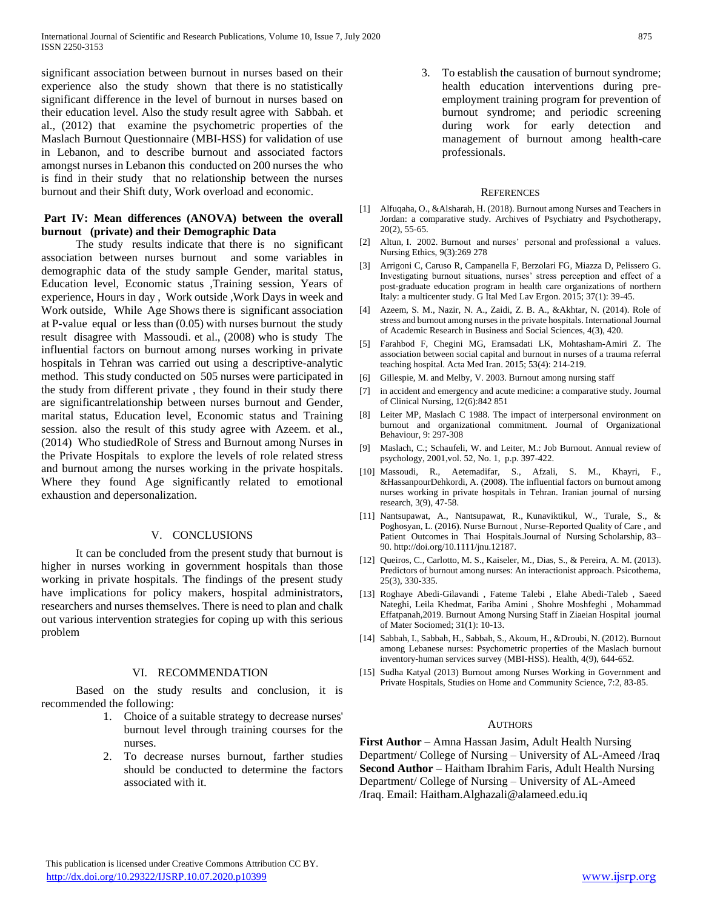significant association between burnout in nurses based on their experience also the study shown that there is no statistically significant difference in the level of burnout in nurses based on their education level. Also the study result agree with Sabbah. et al., (2012) that examine the psychometric properties of the Maslach Burnout Questionnaire (MBI-HSS) for validation of use in Lebanon, and to describe burnout and associated factors amongst nurses in Lebanon this conducted on 200 nurses the who is find in their study that no relationship between the nurses burnout and their Shift duty, Work overload and economic.

## **Part IV: Mean differences (ANOVA) between the overall burnout (private) and their Demographic Data**

The study results indicate that there is no significant association between nurses burnout and some variables in demographic data of the study sample Gender, marital status, Education level, Economic status ,Training session, Years of experience, Hours in day , Work outside ,Work Days in week and Work outside, While Age Shows there is significant association at P-value equal or less than (0.05) with nurses burnout the study result disagree with Massoudi. et al., (2008) who is study The influential factors on burnout among nurses working in private hospitals in Tehran was carried out using a descriptive-analytic method. This study conducted on 505 nurses were participated in the study from different private , they found in their study there are significantrelationship between nurses burnout and Gender, marital status, Education level, Economic status and Training session. also the result of this study agree with Azeem. et al., (2014) Who studiedRole of Stress and Burnout among Nurses in the Private Hospitals to explore the levels of role related stress and burnout among the nurses working in the private hospitals. Where they found Age significantly related to emotional exhaustion and depersonalization.

### V. CONCLUSIONS

It can be concluded from the present study that burnout is higher in nurses working in government hospitals than those working in private hospitals. The findings of the present study have implications for policy makers, hospital administrators, researchers and nurses themselves. There is need to plan and chalk out various intervention strategies for coping up with this serious problem

#### VI. RECOMMENDATION

Based on the study results and conclusion, it is recommended the following:

- 1. Choice of a suitable strategy to decrease nurses' burnout level through training courses for the nurses.
- 2. To decrease nurses burnout, farther studies should be conducted to determine the factors associated with it.

3. To establish the causation of burnout syndrome; health education interventions during preemployment training program for prevention of burnout syndrome; and periodic screening during work for early detection and management of burnout among health-care professionals.

#### **REFERENCES**

- [1] Alfuqaha, O., &Alsharah, H. (2018). Burnout among Nurses and Teachers in Jordan: a comparative study. Archives of Psychiatry and Psychotherapy, 20(2), 55-65.
- [2] Altun, I. 2002. Burnout and nurses' personal and professional a values. Nursing Ethics, 9(3):269 278
- [3] Arrigoni C, Caruso R, Campanella F, Berzolari FG, Miazza D, Pelissero G. Investigating burnout situations, nurses' stress perception and effect of a post-graduate education program in health care organizations of northern Italy: a multicenter study. G Ital Med Lav Ergon. 2015; 37(1): 39-45.
- [4] Azeem, S. M., Nazir, N. A., Zaidi, Z. B. A., &Akhtar, N. (2014). Role of stress and burnout among nurses in the private hospitals. International Journal of Academic Research in Business and Social Sciences, 4(3), 420.
- [5] Farahbod F, Chegini MG, Eramsadati LK, Mohtasham-Amiri Z. The association between social capital and burnout in nurses of a trauma referral teaching hospital. Acta Med Iran. 2015; 53(4): 214-219.
- [6] Gillespie, M. and Melby, V. 2003. Burnout among nursing staff
- [7] in accident and emergency and acute medicine: a comparative study. Journal of Clinical Nursing, 12(6):842 851
- [8] Leiter MP, Maslach C 1988. The impact of interpersonal environment on burnout and organizational commitment. Journal of Organizational Behaviour, 9: 297-308
- [9] Maslach, C.; Schaufeli, W. and Leiter, M.: Job Burnout. Annual review of psychology, 2001,vol. 52, No. 1, p.p. 397-422.
- [10] Massoudi, R., Aetemadifar, S., Afzali, S. M., Khayri, F., &HassanpourDehkordi, A. (2008). The influential factors on burnout among nurses working in private hospitals in Tehran. Iranian journal of nursing research, 3(9), 47-58.
- [11] Nantsupawat, A., Nantsupawat, R., Kunaviktikul, W., Turale, S., & Poghosyan, L. (2016). Nurse Burnout , Nurse-Reported Quality of Care , and Patient Outcomes in Thai Hospitals.Journal of Nursing Scholarship, 83– 90. http://doi.org/10.1111/jnu.12187.
- [12] Queiros, C., Carlotto, M. S., Kaiseler, M., Dias, S., & Pereira, A. M. (2013). Predictors of burnout among nurses: An interactionist approach. Psicothema, 25(3), 330-335.
- [13] Roghaye Abedi-Gilavandi , Fateme Talebi , Elahe Abedi-Taleb , Saeed Nateghi, Leila Khedmat, Fariba Amini , Shohre Moshfeghi , Mohammad Effatpanah,2019. Burnout Among Nursing Staff in Ziaeian Hospital journal of Mater Sociomed; 31(1): 10-13.
- [14] Sabbah, I., Sabbah, H., Sabbah, S., Akoum, H., &Droubi, N. (2012). Burnout among Lebanese nurses: Psychometric properties of the Maslach burnout inventory-human services survey (MBI-HSS). Health, 4(9), 644-652.
- [15] Sudha Katyal (2013) Burnout among Nurses Working in Government and Private Hospitals, Studies on Home and Community Science, 7:2, 83-85.

#### AUTHORS

**First Author** – Amna Hassan Jasim, Adult Health Nursing Department/ College of Nursing – University of AL-Ameed /Iraq **Second Author** – Haitham Ibrahim Faris, Adult Health Nursing Department/ College of Nursing – University of AL-Ameed /Iraq. Email: Haitham.Alghazali@alameed.edu.iq